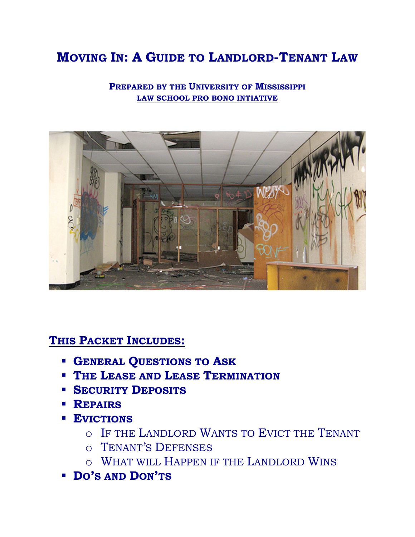# **MOVING IN: A GUIDE TO LANDLORD-TENANT LAW**

**PREPARED BY THE UNIVERSITY OF MISSISSIPPI LAW SCHOOL PRO BONO INTIATIVE**



**THIS PACKET INCLUDES:**

- **GENERAL QUESTIONS TO ASK**
- **THE LEASE AND LEASE TERMINATION**
- **SECURITY DEPOSITS**
- **REPAIRS**
- **EVICTIONS**
	- o IF THE LANDLORD WANTS TO EVICT THE TENANT
	- o TENANT'S DEFENSES
	- o WHAT WILL HAPPEN IF THE LANDLORD WINS
- **DO'S AND DON'TS**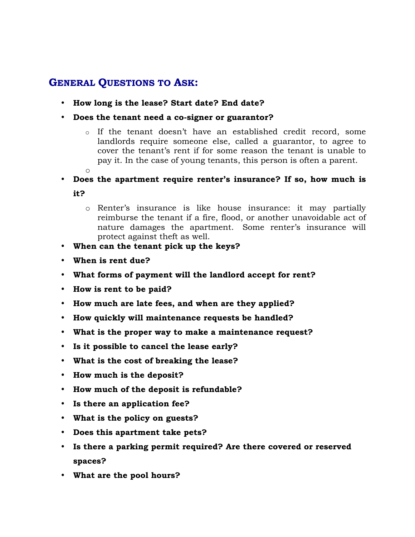### **GENERAL QUESTIONS TO ASK:**

- **How long is the lease? Start date? End date?**
- **Does the tenant need a co-signer or guarantor?**
	- o If the tenant doesn't have an established credit record, some landlords require someone else, called a guarantor, to agree to cover the tenant's rent if for some reason the tenant is unable to pay it. In the case of young tenants, this person is often a parent. o
- **Does the apartment require renter's insurance? If so, how much is it?**
	- o Renter's insurance is like house insurance: it may partially reimburse the tenant if a fire, flood, or another unavoidable act of nature damages the apartment. Some renter's insurance will protect against theft as well.
- **When can the tenant pick up the keys?**
- **When is rent due?**
- **What forms of payment will the landlord accept for rent?**
- **How is rent to be paid?**
- **How much are late fees, and when are they applied?**
- **How quickly will maintenance requests be handled?**
- **What is the proper way to make a maintenance request?**
- **Is it possible to cancel the lease early?**
- **What is the cost of breaking the lease?**
- **How much is the deposit?**
- **How much of the deposit is refundable?**
- **Is there an application fee?**
- **What is the policy on guests?**
- **Does this apartment take pets?**
- **Is there a parking permit required? Are there covered or reserved spaces?**
- **What are the pool hours?**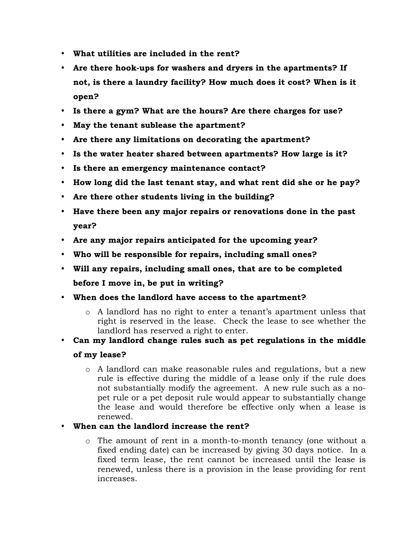- **What utilities are included in the rent?**
- **Are there hook-ups for washers and dryers in the apartments? If not, is there a laundry facility? How much does it cost? When is it open?**
- **Is there a gym? What are the hours? Are there charges for use?**
- **May the tenant sublease the apartment?**
- **Are there any limitations on decorating the apartment?**
- **Is the water heater shared between apartments? How large is it?**
- **Is there an emergency maintenance contact?**
- **How long did the last tenant stay, and what rent did she or he pay?**
- **Are there other students living in the building?**
- **Have there been any major repairs or renovations done in the past year?**
- **Are any major repairs anticipated for the upcoming year?**
- **Who will be responsible for repairs, including small ones?**
- **Will any repairs, including small ones, that are to be completed before I move in, be put in writing?**
- **When does the landlord have access to the apartment?**
	- o A landlord has no right to enter a tenant's apartment unless that right is reserved in the lease. Check the lease to see whether the landlord has reserved a right to enter.
- **Can my landlord change rules such as pet regulations in the middle of my lease?**
	- o A landlord can make reasonable rules and regulations, but a new rule is effective during the middle of a lease only if the rule does not substantially modify the agreement. A new rule such as a nopet rule or a pet deposit rule would appear to substantially change the lease and would therefore be effective only when a lease is renewed.
- **When can the landlord increase the rent?**
	- o The amount of rent in a month-to-month tenancy (one without a fixed ending date) can be increased by giving 30 days notice. In a fixed term lease, the rent cannot be increased until the lease is renewed, unless there is a provision in the lease providing for rent increases.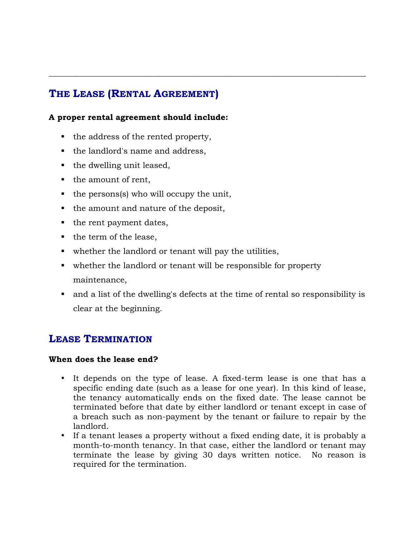# **THE LEASE (RENTAL AGREEMENT)**

### **A proper rental agreement should include:**

- $\blacksquare$  the address of the rented property,
- the landlord's name and address,
- $\blacksquare$  the dwelling unit leased,
- the amount of rent,
- $\bullet$  the persons(s) who will occupy the unit,
- $\blacksquare$  the amount and nature of the deposit,
- the rent payment dates,
- $\blacksquare$  the term of the lease,
- whether the landlord or tenant will pay the utilities,
- whether the landlord or tenant will be responsible for property maintenance,
- and a list of the dwelling's defects at the time of rental so responsibility is clear at the beginning.

\_\_\_\_\_\_\_\_\_\_\_\_\_\_\_\_\_\_\_\_\_\_\_\_\_\_\_\_\_\_\_\_\_\_\_\_\_\_\_\_\_\_\_\_\_\_\_\_\_\_\_\_\_\_\_\_\_\_\_\_\_\_\_\_\_\_\_\_\_\_\_\_\_\_\_\_\_\_

### **LEASE TERMINATION**

### **When does the lease end?**

- It depends on the type of lease. A fixed-term lease is one that has a specific ending date (such as a lease for one year). In this kind of lease, the tenancy automatically ends on the fixed date. The lease cannot be terminated before that date by either landlord or tenant except in case of a breach such as non-payment by the tenant or failure to repair by the landlord.
- If a tenant leases a property without a fixed ending date, it is probably a month-to-month tenancy. In that case, either the landlord or tenant may terminate the lease by giving 30 days written notice. No reason is required for the termination.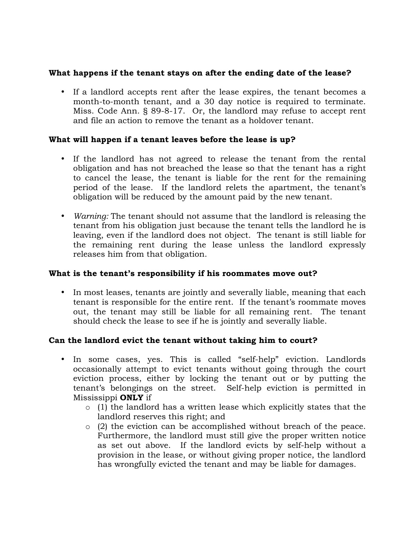### **What happens if the tenant stays on after the ending date of the lease?**

• If a landlord accepts rent after the lease expires, the tenant becomes a month-to-month tenant, and a 30 day notice is required to terminate. Miss. Code Ann. § 89-8-17. Or, the landlord may refuse to accept rent and file an action to remove the tenant as a holdover tenant.

### **What will happen if a tenant leaves before the lease is up?**

- If the landlord has not agreed to release the tenant from the rental obligation and has not breached the lease so that the tenant has a right to cancel the lease, the tenant is liable for the rent for the remaining period of the lease. If the landlord relets the apartment, the tenant's obligation will be reduced by the amount paid by the new tenant.
- *Warning:* The tenant should not assume that the landlord is releasing the tenant from his obligation just because the tenant tells the landlord he is leaving, even if the landlord does not object. The tenant is still liable for the remaining rent during the lease unless the landlord expressly releases him from that obligation.

### **What is the tenant's responsibility if his roommates move out?**

• In most leases, tenants are jointly and severally liable, meaning that each tenant is responsible for the entire rent. If the tenant's roommate moves out, the tenant may still be liable for all remaining rent. The tenant should check the lease to see if he is jointly and severally liable.

### **Can the landlord evict the tenant without taking him to court?**

- In some cases, yes. This is called "self-help" eviction. Landlords occasionally attempt to evict tenants without going through the court eviction process, either by locking the tenant out or by putting the tenant's belongings on the street. Self-help eviction is permitted in Mississippi **ONLY** if
	- $\circ$  (1) the landlord has a written lease which explicitly states that the landlord reserves this right; and
	- o (2) the eviction can be accomplished without breach of the peace. Furthermore, the landlord must still give the proper written notice as set out above. If the landlord evicts by self-help without a provision in the lease, or without giving proper notice, the landlord has wrongfully evicted the tenant and may be liable for damages.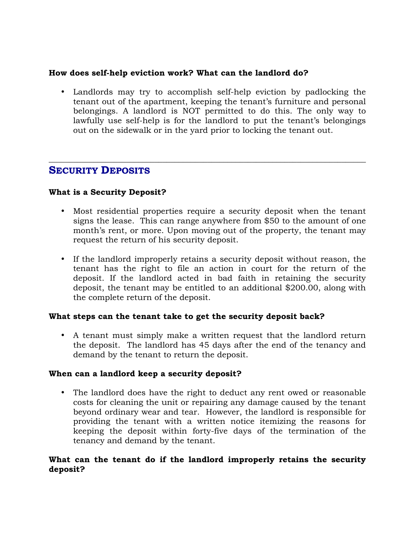### **How does self-help eviction work? What can the landlord do?**

• Landlords may try to accomplish self-help eviction by padlocking the tenant out of the apartment, keeping the tenant's furniture and personal belongings. A landlord is NOT permitted to do this. The only way to lawfully use self-help is for the landlord to put the tenant's belongings out on the sidewalk or in the yard prior to locking the tenant out.

\_\_\_\_\_\_\_\_\_\_\_\_\_\_\_\_\_\_\_\_\_\_\_\_\_\_\_\_\_\_\_\_\_\_\_\_\_\_\_\_\_\_\_\_\_\_\_\_\_\_\_\_\_\_\_\_\_\_\_\_\_\_\_\_\_\_\_\_\_\_\_\_\_\_\_\_\_\_

### **SECURITY DEPOSITS**

### **What is a Security Deposit?**

- Most residential properties require a security deposit when the tenant signs the lease. This can range anywhere from \$50 to the amount of one month's rent, or more. Upon moving out of the property, the tenant may request the return of his security deposit.
- If the landlord improperly retains a security deposit without reason, the tenant has the right to file an action in court for the return of the deposit. If the landlord acted in bad faith in retaining the security deposit, the tenant may be entitled to an additional \$200.00, along with the complete return of the deposit.

### **What steps can the tenant take to get the security deposit back?**

• A tenant must simply make a written request that the landlord return the deposit. The landlord has 45 days after the end of the tenancy and demand by the tenant to return the deposit.

### **When can a landlord keep a security deposit?**

• The landlord does have the right to deduct any rent owed or reasonable costs for cleaning the unit or repairing any damage caused by the tenant beyond ordinary wear and tear. However, the landlord is responsible for providing the tenant with a written notice itemizing the reasons for keeping the deposit within forty-five days of the termination of the tenancy and demand by the tenant.

### **What can the tenant do if the landlord improperly retains the security deposit?**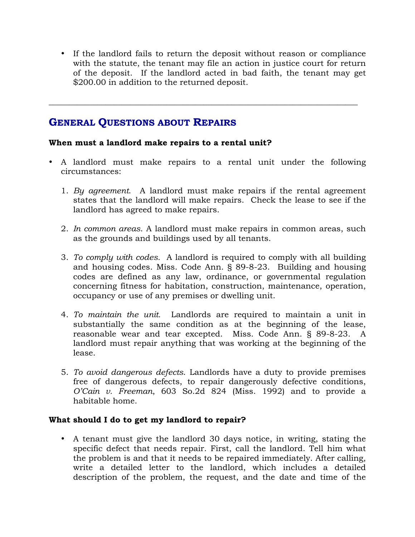• If the landlord fails to return the deposit without reason or compliance with the statute, the tenant may file an action in justice court for return of the deposit. If the landlord acted in bad faith, the tenant may get \$200.00 in addition to the returned deposit.

### **GENERAL QUESTIONS ABOUT REPAIRS**

### **When must a landlord make repairs to a rental unit?**

• A landlord must make repairs to a rental unit under the following circumstances:

\_\_\_\_\_\_\_\_\_\_\_\_\_\_\_\_\_\_\_\_\_\_\_\_\_\_\_\_\_\_\_\_\_\_\_\_\_\_\_\_\_\_\_\_\_\_\_\_\_\_\_\_\_\_\_\_\_\_\_\_\_\_\_\_\_\_\_\_\_\_\_\_\_\_\_\_

- 1. *By agreement*. A landlord must make repairs if the rental agreement states that the landlord will make repairs. Check the lease to see if the landlord has agreed to make repairs.
- 2. *In common areas*. A landlord must make repairs in common areas, such as the grounds and buildings used by all tenants.
- 3. *To comply with codes.* A landlord is required to comply with all building and housing codes. Miss. Code Ann. § 89-8-23. Building and housing codes are defined as any law, ordinance, or governmental regulation concerning fitness for habitation, construction, maintenance, operation, occupancy or use of any premises or dwelling unit.
- 4. *To maintain the unit.* Landlords are required to maintain a unit in substantially the same condition as at the beginning of the lease, reasonable wear and tear excepted. Miss. Code Ann. § 89-8-23. A landlord must repair anything that was working at the beginning of the lease.
- 5. *To avoid dangerous defects*. Landlords have a duty to provide premises free of dangerous defects, to repair dangerously defective conditions, *O'Cain v. Freeman*, 603 So.2d 824 (Miss. 1992) and to provide a habitable home.

### **What should I do to get my landlord to repair?**

• A tenant must give the landlord 30 days notice, in writing, stating the specific defect that needs repair. First, call the landlord. Tell him what the problem is and that it needs to be repaired immediately. After calling, write a detailed letter to the landlord, which includes a detailed description of the problem, the request, and the date and time of the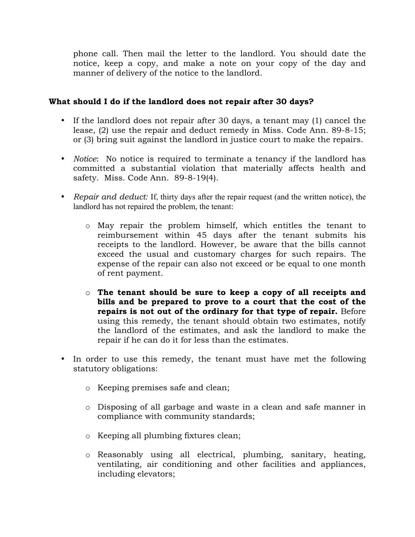phone call. Then mail the letter to the landlord. You should date the notice, keep a copy, and make a note on your copy of the day and manner of delivery of the notice to the landlord.

### **What should I do if the landlord does not repair after 30 days?**

- If the landlord does not repair after 30 days, a tenant may (1) cancel the lease, (2) use the repair and deduct remedy in Miss. Code Ann. 89-8-15; or (3) bring suit against the landlord in justice court to make the repairs.
- *Notice*: No notice is required to terminate a tenancy if the landlord has committed a substantial violation that materially affects health and safety. Miss. Code Ann. 89-8-19(4).
- *Repair and deduct:* If, thirty days after the repair request (and the written notice), the landlord has not repaired the problem, the tenant:
	- o May repair the problem himself, which entitles the tenant to reimbursement within 45 days after the tenant submits his receipts to the landlord. However, be aware that the bills cannot exceed the usual and customary charges for such repairs. The expense of the repair can also not exceed or be equal to one month of rent payment.
	- o **The tenant should be sure to keep a copy of all receipts and bills and be prepared to prove to a court that the cost of the repairs is not out of the ordinary for that type of repair.** Before using this remedy, the tenant should obtain two estimates, notify the landlord of the estimates, and ask the landlord to make the repair if he can do it for less than the estimates.
- In order to use this remedy, the tenant must have met the following statutory obligations:
	- o Keeping premises safe and clean;
	- o Disposing of all garbage and waste in a clean and safe manner in compliance with community standards;
	- o Keeping all plumbing fixtures clean;
	- o Reasonably using all electrical, plumbing, sanitary, heating, ventilating, air conditioning and other facilities and appliances, including elevators;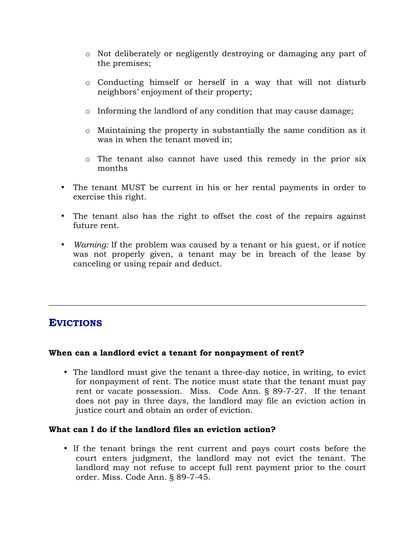- o Not deliberately or negligently destroying or damaging any part of the premises;
- o Conducting himself or herself in a way that will not disturb neighbors' enjoyment of their property;
- o Informing the landlord of any condition that may cause damage;
- o Maintaining the property in substantially the same condition as it was in when the tenant moved in;
- o The tenant also cannot have used this remedy in the prior six months
- The tenant MUST be current in his or her rental payments in order to exercise this right.
- The tenant also has the right to offset the cost of the repairs against future rent.
- *Warning:* If the problem was caused by a tenant or his guest, or if notice was not properly given, a tenant may be in breach of the lease by canceling or using repair and deduct.

\_\_\_\_\_\_\_\_\_\_\_\_\_\_\_\_\_\_\_\_\_\_\_\_\_\_\_\_\_\_\_\_\_\_\_\_\_\_\_\_\_\_\_\_\_\_\_\_\_\_\_\_\_\_\_\_\_\_\_\_\_\_\_\_\_\_\_\_\_\_\_\_\_\_\_\_\_\_

### **EVICTIONS**

### **When can a landlord evict a tenant for nonpayment of rent?**

• The landlord must give the tenant a three-day notice, in writing, to evict for nonpayment of rent. The notice must state that the tenant must pay rent or vacate possession. Miss. Code Ann. § 89-7-27. If the tenant does not pay in three days, the landlord may file an eviction action in justice court and obtain an order of eviction.

### **What can I do if the landlord files an eviction action?**

• If the tenant brings the rent current and pays court costs before the court enters judgment, the landlord may not evict the tenant. The landlord may not refuse to accept full rent payment prior to the court order. Miss. Code Ann. § 89-7-45.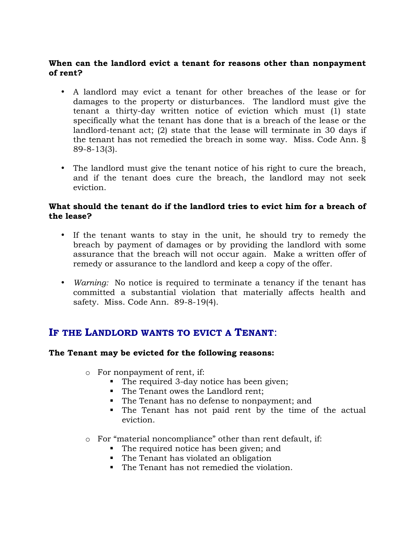### **When can the landlord evict a tenant for reasons other than nonpayment of rent?**

- A landlord may evict a tenant for other breaches of the lease or for damages to the property or disturbances. The landlord must give the tenant a thirty-day written notice of eviction which must (1) state specifically what the tenant has done that is a breach of the lease or the landlord-tenant act; (2) state that the lease will terminate in 30 days if the tenant has not remedied the breach in some way. Miss. Code Ann. § 89-8-13(3).
- The landlord must give the tenant notice of his right to cure the breach, and if the tenant does cure the breach, the landlord may not seek eviction.

### **What should the tenant do if the landlord tries to evict him for a breach of the lease?**

- If the tenant wants to stay in the unit, he should try to remedy the breach by payment of damages or by providing the landlord with some assurance that the breach will not occur again. Make a written offer of remedy or assurance to the landlord and keep a copy of the offer.
- *Warning:* No notice is required to terminate a tenancy if the tenant has committed a substantial violation that materially affects health and safety. Miss. Code Ann. 89-8-19(4).

### **IF THE LANDLORD WANTS TO EVICT A TENANT**:

### **The Tenant may be evicted for the following reasons:**

- o For nonpayment of rent, if:
	- The required 3-day notice has been given;
	- The Tenant owes the Landlord rent;
	- The Tenant has no defense to nonpayment; and
	- The Tenant has not paid rent by the time of the actual eviction.
- o For "material noncompliance" other than rent default, if:
	- The required notice has been given; and
	- The Tenant has violated an obligation
	- The Tenant has not remedied the violation.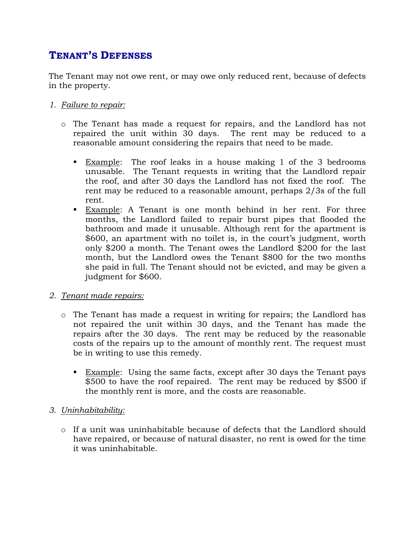# **TENANT'S DEFENSES**

The Tenant may not owe rent, or may owe only reduced rent, because of defects in the property.

### *1. Failure to repair:*

- o The Tenant has made a request for repairs, and the Landlord has not repaired the unit within 30 days. The rent may be reduced to a reasonable amount considering the repairs that need to be made.
	- Example: The roof leaks in a house making 1 of the 3 bedrooms unusable. The Tenant requests in writing that the Landlord repair the roof, and after 30 days the Landlord has not fixed the roof. The rent may be reduced to a reasonable amount, perhaps 2/3s of the full rent.
	- Example: A Tenant is one month behind in her rent. For three months, the Landlord failed to repair burst pipes that flooded the bathroom and made it unusable. Although rent for the apartment is \$600, an apartment with no toilet is, in the court's judgment, worth only \$200 a month. The Tenant owes the Landlord \$200 for the last month, but the Landlord owes the Tenant \$800 for the two months she paid in full. The Tenant should not be evicted, and may be given a judgment for \$600.

### *2. Tenant made repairs:*

- o The Tenant has made a request in writing for repairs; the Landlord has not repaired the unit within 30 days, and the Tenant has made the repairs after the 30 days. The rent may be reduced by the reasonable costs of the repairs up to the amount of monthly rent. The request must be in writing to use this remedy.
	- Example: Using the same facts, except after 30 days the Tenant pays \$500 to have the roof repaired. The rent may be reduced by \$500 if the monthly rent is more, and the costs are reasonable.
- *3. Uninhabitability:*
	- o If a unit was uninhabitable because of defects that the Landlord should have repaired, or because of natural disaster, no rent is owed for the time it was uninhabitable.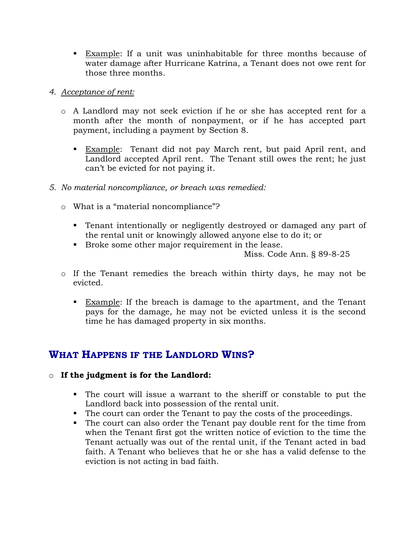**Example:** If a unit was uninhabitable for three months because of water damage after Hurricane Katrina, a Tenant does not owe rent for those three months.

### *4. Acceptance of rent:*

- o A Landlord may not seek eviction if he or she has accepted rent for a month after the month of nonpayment, or if he has accepted part payment, including a payment by Section 8.
	- Example: Tenant did not pay March rent, but paid April rent, and Landlord accepted April rent. The Tenant still owes the rent; he just can't be evicted for not paying it.
- *5. No material noncompliance, or breach was remedied:*
	- o What is a "material noncompliance"?
		- Tenant intentionally or negligently destroyed or damaged any part of the rental unit or knowingly allowed anyone else to do it; or
		- Broke some other major requirement in the lease.

Miss. Code Ann. § 89-8-25

- o If the Tenant remedies the breach within thirty days, he may not be evicted.
	- Example: If the breach is damage to the apartment, and the Tenant pays for the damage, he may not be evicted unless it is the second time he has damaged property in six months.

## **WHAT HAPPENS IF THE LANDLORD WINS?**

### o **If the judgment is for the Landlord:**

- The court will issue a warrant to the sheriff or constable to put the Landlord back into possession of the rental unit.
- The court can order the Tenant to pay the costs of the proceedings.
- The court can also order the Tenant pay double rent for the time from when the Tenant first got the written notice of eviction to the time the Tenant actually was out of the rental unit, if the Tenant acted in bad faith. A Tenant who believes that he or she has a valid defense to the eviction is not acting in bad faith.